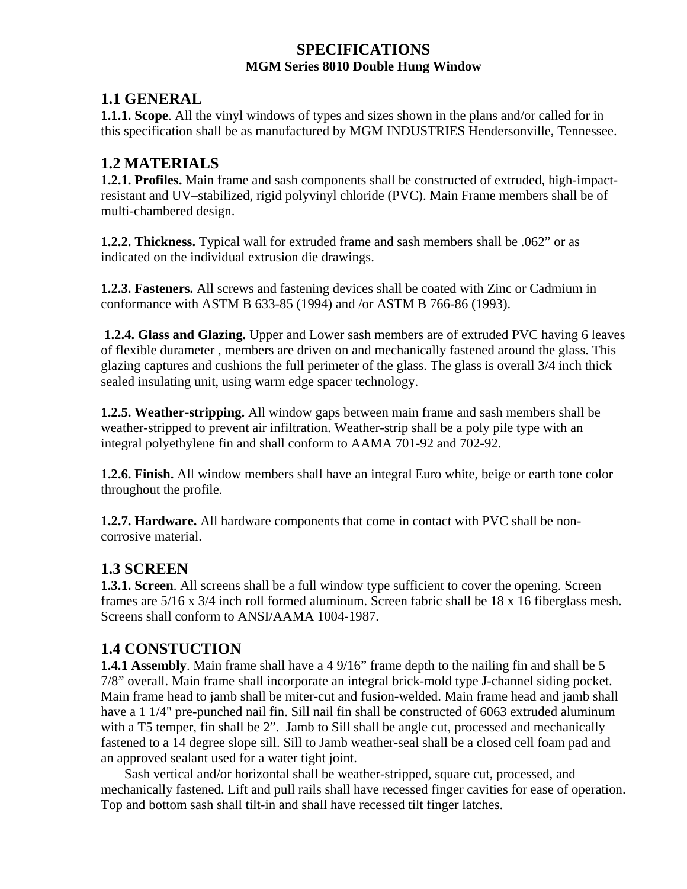### **SPECIFICATIONS MGM Series 8010 Double Hung Window**

### **1.1 GENERAL**

**1.1.1. Scope**. All the vinyl windows of types and sizes shown in the plans and/or called for in this specification shall be as manufactured by MGM INDUSTRIES Hendersonville, Tennessee.

## **1.2 MATERIALS**

**1.2.1. Profiles.** Main frame and sash components shall be constructed of extruded, high-impactresistant and UV–stabilized, rigid polyvinyl chloride (PVC). Main Frame members shall be of multi-chambered design.

**1.2.2. Thickness.** Typical wall for extruded frame and sash members shall be .062" or as indicated on the individual extrusion die drawings.

**1.2.3. Fasteners.** All screws and fastening devices shall be coated with Zinc or Cadmium in conformance with ASTM B 633-85 (1994) and /or ASTM B 766-86 (1993).

 **1.2.4. Glass and Glazing.** Upper and Lower sash members are of extruded PVC having 6 leaves of flexible durameter , members are driven on and mechanically fastened around the glass. This glazing captures and cushions the full perimeter of the glass. The glass is overall 3/4 inch thick sealed insulating unit, using warm edge spacer technology.

**1.2.5. Weather-stripping.** All window gaps between main frame and sash members shall be weather-stripped to prevent air infiltration. Weather-strip shall be a poly pile type with an integral polyethylene fin and shall conform to AAMA 701-92 and 702-92.

**1.2.6. Finish.** All window members shall have an integral Euro white, beige or earth tone color throughout the profile.

**1.2.7. Hardware.** All hardware components that come in contact with PVC shall be noncorrosive material.

# **1.3 SCREEN**

**1.3.1. Screen**. All screens shall be a full window type sufficient to cover the opening. Screen frames are 5/16 x 3/4 inch roll formed aluminum. Screen fabric shall be 18 x 16 fiberglass mesh. Screens shall conform to ANSI/AAMA 1004-1987.

# **1.4 CONSTUCTION**

**1.4.1 Assembly**. Main frame shall have a 4 9/16" frame depth to the nailing fin and shall be 5 7/8" overall. Main frame shall incorporate an integral brick-mold type J-channel siding pocket. Main frame head to jamb shall be miter-cut and fusion-welded. Main frame head and jamb shall have a 1 1/4" pre-punched nail fin. Sill nail fin shall be constructed of 6063 extruded aluminum with a T5 temper, fin shall be 2". Jamb to Sill shall be angle cut, processed and mechanically fastened to a 14 degree slope sill. Sill to Jamb weather-seal shall be a closed cell foam pad and an approved sealant used for a water tight joint.

Sash vertical and/or horizontal shall be weather-stripped, square cut, processed, and mechanically fastened. Lift and pull rails shall have recessed finger cavities for ease of operation. Top and bottom sash shall tilt-in and shall have recessed tilt finger latches.